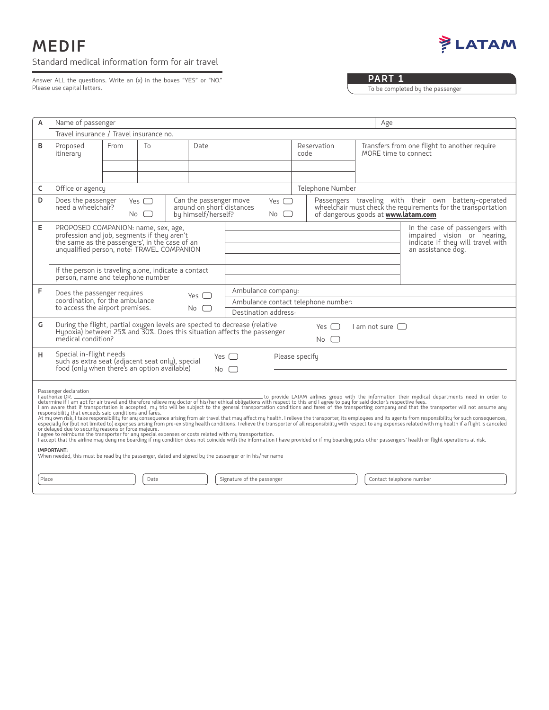## **MEDIF** Standard medical information form for air travel



Answer ALL the questions. Write an (x) in the boxes "YES" or "NO." Please use capital letters.

## **PART 1**

To be completed by the passenger

| Α                                                                                                                                                                                                                                                                                                                                                                                                                                                                                                                                                                                                                                                                                                                                                                                                                                                                                                                                                                                                                                                                                                                                                                                   | Name of passenger                                                                                                                                                                                                                     |                                                                                                                                                                                                          |                                                                            |            |                                                                |                     |  |                                                                                                                      | Age                                                                                                |  |  |
|-------------------------------------------------------------------------------------------------------------------------------------------------------------------------------------------------------------------------------------------------------------------------------------------------------------------------------------------------------------------------------------------------------------------------------------------------------------------------------------------------------------------------------------------------------------------------------------------------------------------------------------------------------------------------------------------------------------------------------------------------------------------------------------------------------------------------------------------------------------------------------------------------------------------------------------------------------------------------------------------------------------------------------------------------------------------------------------------------------------------------------------------------------------------------------------|---------------------------------------------------------------------------------------------------------------------------------------------------------------------------------------------------------------------------------------|----------------------------------------------------------------------------------------------------------------------------------------------------------------------------------------------------------|----------------------------------------------------------------------------|------------|----------------------------------------------------------------|---------------------|--|----------------------------------------------------------------------------------------------------------------------|----------------------------------------------------------------------------------------------------|--|--|
|                                                                                                                                                                                                                                                                                                                                                                                                                                                                                                                                                                                                                                                                                                                                                                                                                                                                                                                                                                                                                                                                                                                                                                                     | Travel insurance / Travel insurance no.                                                                                                                                                                                               |                                                                                                                                                                                                          |                                                                            |            |                                                                |                     |  |                                                                                                                      |                                                                                                    |  |  |
| В                                                                                                                                                                                                                                                                                                                                                                                                                                                                                                                                                                                                                                                                                                                                                                                                                                                                                                                                                                                                                                                                                                                                                                                   | Proposed<br>itinerary                                                                                                                                                                                                                 | From                                                                                                                                                                                                     | To                                                                         | Date       |                                                                | Reservation<br>code |  | Transfers from one flight to another require<br>MORE time to connect                                                 |                                                                                                    |  |  |
|                                                                                                                                                                                                                                                                                                                                                                                                                                                                                                                                                                                                                                                                                                                                                                                                                                                                                                                                                                                                                                                                                                                                                                                     |                                                                                                                                                                                                                                       |                                                                                                                                                                                                          |                                                                            |            |                                                                |                     |  |                                                                                                                      |                                                                                                    |  |  |
| C                                                                                                                                                                                                                                                                                                                                                                                                                                                                                                                                                                                                                                                                                                                                                                                                                                                                                                                                                                                                                                                                                                                                                                                   |                                                                                                                                                                                                                                       | Office or agency<br>Telephone Number                                                                                                                                                                     |                                                                            |            |                                                                |                     |  |                                                                                                                      |                                                                                                    |  |  |
| D                                                                                                                                                                                                                                                                                                                                                                                                                                                                                                                                                                                                                                                                                                                                                                                                                                                                                                                                                                                                                                                                                                                                                                                   | Does the passenger<br>need a wheelchair?                                                                                                                                                                                              | Yes $\Box$<br>$No$ $\Box$                                                                                                                                                                                | Can the passenger move<br>around on short distances<br>by himself/herself? |            | Yes $\Box$<br>of dangerous goods at www.latam.com<br>No $\Box$ |                     |  | Passengers traveling with their own battery-operated<br>wheelchairmust check the requirements for the transportation |                                                                                                    |  |  |
| E                                                                                                                                                                                                                                                                                                                                                                                                                                                                                                                                                                                                                                                                                                                                                                                                                                                                                                                                                                                                                                                                                                                                                                                   |                                                                                                                                                                                                                                       | PROPOSED COMPANION: name, sex, age,<br>profession and job, segments if they aren't<br>the same as the passengers', in the case of an<br>unqualified person, note: TRAVEL COMPANION<br>an assistance dog. |                                                                            |            |                                                                |                     |  |                                                                                                                      | In the case of passengers with<br>impaired vision or hearing,<br>indicate if they will travel with |  |  |
|                                                                                                                                                                                                                                                                                                                                                                                                                                                                                                                                                                                                                                                                                                                                                                                                                                                                                                                                                                                                                                                                                                                                                                                     | If the person is traveling alone, indicate a contact<br>person, name and telephone number                                                                                                                                             |                                                                                                                                                                                                          |                                                                            |            |                                                                |                     |  |                                                                                                                      |                                                                                                    |  |  |
| F                                                                                                                                                                                                                                                                                                                                                                                                                                                                                                                                                                                                                                                                                                                                                                                                                                                                                                                                                                                                                                                                                                                                                                                   | Does the passenger requires                                                                                                                                                                                                           |                                                                                                                                                                                                          |                                                                            | Yes $\Box$ | Ambulance company:                                             |                     |  |                                                                                                                      |                                                                                                    |  |  |
| coordination, for the ambulance<br>Ambulance contact telephone number:<br>to access the airport premises.<br>$No$ $\Box$                                                                                                                                                                                                                                                                                                                                                                                                                                                                                                                                                                                                                                                                                                                                                                                                                                                                                                                                                                                                                                                            |                                                                                                                                                                                                                                       |                                                                                                                                                                                                          |                                                                            |            |                                                                |                     |  |                                                                                                                      |                                                                                                    |  |  |
|                                                                                                                                                                                                                                                                                                                                                                                                                                                                                                                                                                                                                                                                                                                                                                                                                                                                                                                                                                                                                                                                                                                                                                                     |                                                                                                                                                                                                                                       | Destination address:                                                                                                                                                                                     |                                                                            |            |                                                                |                     |  |                                                                                                                      |                                                                                                    |  |  |
| G                                                                                                                                                                                                                                                                                                                                                                                                                                                                                                                                                                                                                                                                                                                                                                                                                                                                                                                                                                                                                                                                                                                                                                                   | During the flight, partial oxygen levels are spected to decrease (relative<br>Yes $\Box$<br>$\Box$ am not sure $\Box$<br>Hypoxia) between 25% and 30%. Does this situation affects the passenger<br>medical condition?<br>$No$ $\Box$ |                                                                                                                                                                                                          |                                                                            |            |                                                                |                     |  |                                                                                                                      |                                                                                                    |  |  |
| н                                                                                                                                                                                                                                                                                                                                                                                                                                                                                                                                                                                                                                                                                                                                                                                                                                                                                                                                                                                                                                                                                                                                                                                   | Special in-flight needs<br>Please specify<br>Yes [ ]<br>such as extra seat (adjacent seat only), special<br>food (only when there's an option available)<br>$No \Box$                                                                 |                                                                                                                                                                                                          |                                                                            |            |                                                                |                     |  |                                                                                                                      |                                                                                                    |  |  |
| Passenger declaration<br>I authorize DR.<br>to provide LATAM airlines group with the information their medical departments need in order to<br>determine if I am apt for air travel and therefore relieve my doctor of his/her ethical obligations with respect to this and I agree to pay for said doctor's respective fees.<br>I am aware that if transportation is accepted,<br>responsibility that exceeds said conditions and fares.<br>At my own risk, I take responsibility for any consequence arising from air travel that may affect my health. I relieve the transporter, its employees and its agents from responsibility for such consequences,<br>especially for<br>or delayed due to security reasons or force majeure.<br>I agree to reimburse the transporter for any special expenses or costs related with my transportation.<br>I agree to reimburse the transporter for any special expenses or costs related with the information I have provided or<br><b>IMPORTANT:</b><br>When needed, this must be read by the passenger, dated and signed by the passenger or in his/her name<br>Signature of the passenger<br>Place<br>Date<br>Contact telephone number |                                                                                                                                                                                                                                       |                                                                                                                                                                                                          |                                                                            |            |                                                                |                     |  |                                                                                                                      |                                                                                                    |  |  |
|                                                                                                                                                                                                                                                                                                                                                                                                                                                                                                                                                                                                                                                                                                                                                                                                                                                                                                                                                                                                                                                                                                                                                                                     |                                                                                                                                                                                                                                       |                                                                                                                                                                                                          |                                                                            |            |                                                                |                     |  |                                                                                                                      |                                                                                                    |  |  |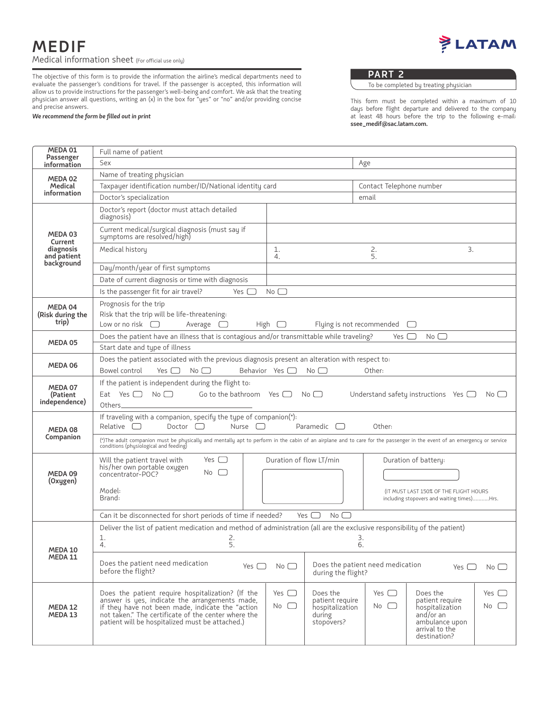LATAM

The objective of this form is to provide the information the airline's medical departments need to evaluate the passenger's conditions for travel. If the passenger is accepted, this information will allow us to provide instructions for the passenger's well-being and comfort. We ask that the treating physician answer all questions, writing an (x) in the box for "yes" or "no" and/or providing concise and precise answers.

## *We recommend the form be filled out in print*

**PART 2**

To be completed by treating physician

This form must be completed within a maximum of 10 days before flight departure and delivered to the company at least 48 hours before the trip to the following e-mail: **ssee\_medif@sac.latam.com.**

| MEDA 01                                | Full name of patient                                                                                                                                                                                                                                              |                                                                                                                           |                                                                        |                                                                                      |                                                                                                                 |                  |  |  |  |  |  |
|----------------------------------------|-------------------------------------------------------------------------------------------------------------------------------------------------------------------------------------------------------------------------------------------------------------------|---------------------------------------------------------------------------------------------------------------------------|------------------------------------------------------------------------|--------------------------------------------------------------------------------------|-----------------------------------------------------------------------------------------------------------------|------------------|--|--|--|--|--|
| Passenger<br>information               | Sex                                                                                                                                                                                                                                                               |                                                                                                                           | Age                                                                    |                                                                                      |                                                                                                                 |                  |  |  |  |  |  |
| MEDA 02                                | Name of treating physician                                                                                                                                                                                                                                        |                                                                                                                           |                                                                        |                                                                                      |                                                                                                                 |                  |  |  |  |  |  |
| Medical                                | Taxpayer identification number/ID/National identity card                                                                                                                                                                                                          |                                                                                                                           | Contact Telephone number                                               |                                                                                      |                                                                                                                 |                  |  |  |  |  |  |
| information                            | Doctor's specialization                                                                                                                                                                                                                                           |                                                                                                                           | email                                                                  |                                                                                      |                                                                                                                 |                  |  |  |  |  |  |
|                                        | Doctor's report (doctor must attach detailed<br>diagnosis)                                                                                                                                                                                                        |                                                                                                                           |                                                                        |                                                                                      |                                                                                                                 |                  |  |  |  |  |  |
| MEDA 03<br>Current                     | Current medical/surgical diagnosis (must say if<br>symptoms are resolved/high)                                                                                                                                                                                    |                                                                                                                           |                                                                        |                                                                                      |                                                                                                                 |                  |  |  |  |  |  |
| diagnosis<br>and patient<br>background | Medical history                                                                                                                                                                                                                                                   | 2.<br>3.<br>1.<br>5.<br>4.                                                                                                |                                                                        |                                                                                      |                                                                                                                 |                  |  |  |  |  |  |
|                                        | Day/month/year of first symptoms                                                                                                                                                                                                                                  |                                                                                                                           |                                                                        |                                                                                      |                                                                                                                 |                  |  |  |  |  |  |
|                                        | Date of current diagnosis or time with diagnosis                                                                                                                                                                                                                  |                                                                                                                           |                                                                        |                                                                                      |                                                                                                                 |                  |  |  |  |  |  |
|                                        | Is the passenger fit for air travel?<br>$No \Box$<br>Yes $\Box$                                                                                                                                                                                                   |                                                                                                                           |                                                                        |                                                                                      |                                                                                                                 |                  |  |  |  |  |  |
| MEDA 04                                | Prognosis for the trip                                                                                                                                                                                                                                            |                                                                                                                           |                                                                        |                                                                                      |                                                                                                                 |                  |  |  |  |  |  |
| (Risk during the                       | Risk that the trip will be life-threatening:                                                                                                                                                                                                                      |                                                                                                                           |                                                                        |                                                                                      |                                                                                                                 |                  |  |  |  |  |  |
| trip)                                  | Low or no risk $\Box$<br>Flying is not recommended<br>Average $\Box$<br>High $\Box$                                                                                                                                                                               |                                                                                                                           |                                                                        |                                                                                      |                                                                                                                 |                  |  |  |  |  |  |
|                                        | Does the patient have an illness that is contagious and/or transmittable while traveling?<br>$No$ $\Box$<br>Yes $\Box$                                                                                                                                            |                                                                                                                           |                                                                        |                                                                                      |                                                                                                                 |                  |  |  |  |  |  |
| MEDA 05                                | Start date and type of illness                                                                                                                                                                                                                                    |                                                                                                                           |                                                                        |                                                                                      |                                                                                                                 |                  |  |  |  |  |  |
| MEDA 06                                | Does the patient associated with the previous diagnosis present an alteration with respect to:                                                                                                                                                                    |                                                                                                                           |                                                                        |                                                                                      |                                                                                                                 |                  |  |  |  |  |  |
|                                        | Behavior Yes $\Box$<br>Bowel control<br>Yes $\Box$<br>No<br>No<br>Other:                                                                                                                                                                                          |                                                                                                                           |                                                                        |                                                                                      |                                                                                                                 |                  |  |  |  |  |  |
| MEDA 07                                | If the patient is independent during the flight to:                                                                                                                                                                                                               |                                                                                                                           |                                                                        |                                                                                      |                                                                                                                 |                  |  |  |  |  |  |
| (Patient                               | Eat Yes $\Box$ No $\Box$<br>Go to the bathroom Yes $\Box$ No $\Box$<br>Understand safety instructions Yes $\Box$<br>$\overline{\mathsf{No}}\ \Box$                                                                                                                |                                                                                                                           |                                                                        |                                                                                      |                                                                                                                 |                  |  |  |  |  |  |
| independence)                          | Others.                                                                                                                                                                                                                                                           |                                                                                                                           |                                                                        |                                                                                      |                                                                                                                 |                  |  |  |  |  |  |
| MEDA 08                                | If traveling with a companion, specify the type of companion(*):<br>Relative $\Box$<br>Doctor $\Box$<br>Nurse<br>Paramedic<br>Other:                                                                                                                              |                                                                                                                           |                                                                        |                                                                                      |                                                                                                                 |                  |  |  |  |  |  |
| Companion                              | (*)The adult companion must be physically and mentally apt to perform in the cabin of an airplane and to care for the passenger in the event of an emergency or service<br>conditions (physiological and feeding)                                                 |                                                                                                                           |                                                                        |                                                                                      |                                                                                                                 |                  |  |  |  |  |  |
|                                        | Yes $\Box$<br>Will the patient travel with                                                                                                                                                                                                                        | Duration of flow LT/min                                                                                                   |                                                                        | Duration of battery:                                                                 |                                                                                                                 |                  |  |  |  |  |  |
| MEDA 09                                | his/her own portable oxygen<br>No $\Box$<br>concentrator-POC?                                                                                                                                                                                                     |                                                                                                                           |                                                                        |                                                                                      |                                                                                                                 |                  |  |  |  |  |  |
| (Oxygen)                               |                                                                                                                                                                                                                                                                   |                                                                                                                           |                                                                        | (IT MUST LAST 150% OF THE FLIGHT HOURS<br>including stopovers and waiting times)Hrs. |                                                                                                                 |                  |  |  |  |  |  |
|                                        | Model:<br>Brand:                                                                                                                                                                                                                                                  |                                                                                                                           |                                                                        |                                                                                      |                                                                                                                 |                  |  |  |  |  |  |
|                                        |                                                                                                                                                                                                                                                                   |                                                                                                                           |                                                                        |                                                                                      |                                                                                                                 |                  |  |  |  |  |  |
|                                        | Can it be disconnected for short periods of time if needed?<br>$No$ $\Box$<br>Yes $\Box$                                                                                                                                                                          |                                                                                                                           |                                                                        |                                                                                      |                                                                                                                 |                  |  |  |  |  |  |
|                                        |                                                                                                                                                                                                                                                                   | Deliver the list of patient medication and method of administration (all are the exclusive responsibility of the patient) |                                                                        |                                                                                      |                                                                                                                 |                  |  |  |  |  |  |
|                                        | 1.<br>2.<br>5.<br>3.<br>4.<br>6.                                                                                                                                                                                                                                  |                                                                                                                           |                                                                        |                                                                                      |                                                                                                                 |                  |  |  |  |  |  |
| MEDA 10<br>MEDA 11                     |                                                                                                                                                                                                                                                                   |                                                                                                                           |                                                                        |                                                                                      |                                                                                                                 |                  |  |  |  |  |  |
|                                        | Does the patient need medication<br>Yes $\Box$                                                                                                                                                                                                                    | No $\Box$                                                                                                                 |                                                                        | Does the patient need medication<br>$No$ $\Box$<br>Yes $\Box$                        |                                                                                                                 |                  |  |  |  |  |  |
|                                        | before the flight?<br>during the flight?                                                                                                                                                                                                                          |                                                                                                                           |                                                                        |                                                                                      |                                                                                                                 |                  |  |  |  |  |  |
| MEDA 12<br>MEDA 13                     | Does the patient require hospitalization? (If the<br>answer is yes, indicate the arrangements made,<br>if they have not been made, indicate the "action<br>not taken." The certificate of the center where the<br>patient will be hospitalized must be attached.) | Yes $\Box$<br>$No \cup$                                                                                                   | Does the<br>patient require<br>hospitalization<br>during<br>stopovers? | Yes $\Box$<br>$No \cup$                                                              | Does the<br>patient require<br>hospitalization<br>and/or an<br>ambulance upon<br>arrival to the<br>destination? | Yes $\Box$<br>No |  |  |  |  |  |